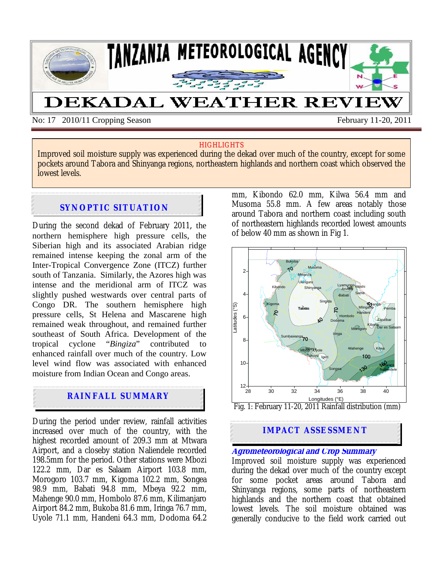

No: 17 2010/11 Cropping Season February 11-20, 2011

#### **HIGHLIGHTS**

Improved soil moisture supply was experienced during the dekad over much of the country, except for some pockets around Tabora and Shinyanga regions, northeastern highlands and northern coast which observed the lowest levels.

# **SYNOPTIC SITUATION**

During the second dekad of February 2011*,* the northern hemisphere high pressure cells, the Siberian high and its associated Arabian ridge remained intense keeping the zonal arm of the Inter-Tropical Convergence Zone (ITCZ) further south of Tanzania. Similarly, the Azores high was intense and the meridional arm of ITCZ was slightly pushed westwards over central parts of Congo DR. The southern hemisphere high pressure cells, St Helena and Mascarene high remained weak throughout, and remained further southeast of South Africa. Development of the tropical cyclone "*Bingiza*" contributed to enhanced rainfall over much of the country. Low level wind flow was associated with enhanced moisture from Indian Ocean and Congo areas.

# **RAINFALL SUMMARY**

During the period under review, rainfall activities increased over much of the country, with the highest recorded amount of 209.3 mm at Mtwara Airport, and a closeby station Naliendele recorded 198.5mm for the period. Other stations were Mbozi 122.2 mm, Dar es Salaam Airport 103.8 mm, Morogoro 103.7 mm, Kigoma 102.2 mm, Songea 98.9 mm, Babati 94.8 mm, Mbeya 92.2 mm, Mahenge 90.0 mm, Hombolo 87.6 mm, Kilimanjaro Airport 84.2 mm, Bukoba 81.6 mm, Iringa 76.7 mm, Uyole 71.1 mm, Handeni 64.3 mm, Dodoma 64.2

mm, Kibondo 62.0 mm, Kilwa 56.4 mm and Musoma 55.8 mm. A few areas notably those around Tabora and northern coast including south of northeastern highlands recorded lowest amounts of below 40 mm as shown in Fig 1.



Fig. 1: February 11-20, 2011 Rainfall distribution (mm)

### **IMPACT ASSESSMENT**

#### **Agrometeorological and Crop Summary**

Improved soil moisture supply was experienced during the dekad over much of the country except for some pocket areas around Tabora and Shinyanga regions, some parts of northeastern highlands and the northern coast that obtained lowest levels. The soil moisture obtained was generally conducive to the field work carried out